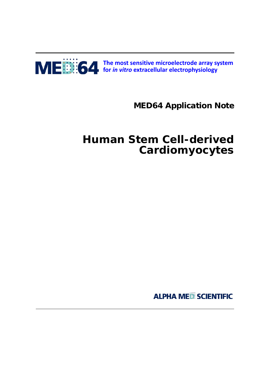

**The most sensitive microelectrode array system for** *in vitro* **extracellular electrophysiology**

 **MED64 Application Note**

# **Human Stem Cell-derived Cardiomyocytes**

**ALPHA MEE SCIENTIFIC**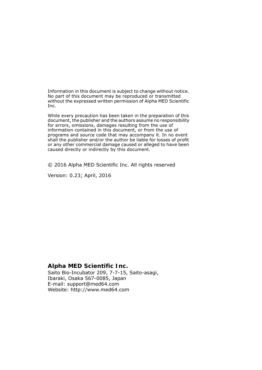Information in this document is subject to change without notice. No part of this document may be reproduced or transmitted without the expressed written permission of Alpha MED Scientific Inc.

While every precaution has been taken in the preparation of this document, the publisher and the authors assume no responsibility for errors, omissions, damages resulting from the use of information contained in this document, or from the use of programs and source code that may accompany it. In no event shall the publisher and/or the author be liable for losses of profit or any other commercial damage caused or alleged to have been caused directly or indirectly by this document.

© 2016 Alpha MED Scientific Inc. All rights reserved

Version: 0.23; April, 2016

## **Alpha MED Scientific Inc.**

Saito Bio-Incubator 209, 7-7-15, Saito-asagi, Ibaraki, Osaka 567-0085, Japan E-mail: support@med64.com Website: http://www.med64.com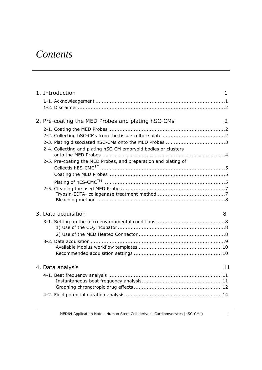# *Contents*

|  | 1. Introduction                                                 | 1. |
|--|-----------------------------------------------------------------|----|
|  |                                                                 |    |
|  |                                                                 |    |
|  |                                                                 |    |
|  | 2. Pre-coating the MED Probes and plating hSC-CMs               | 2  |
|  |                                                                 |    |
|  |                                                                 |    |
|  |                                                                 |    |
|  | 2-4. Collecting and plating hSC-CM embryoid bodies or clusters  |    |
|  | 2-5. Pre-coating the MED Probes, and preparation and plating of |    |
|  |                                                                 |    |
|  |                                                                 |    |
|  |                                                                 |    |
|  |                                                                 |    |
|  |                                                                 |    |
|  |                                                                 |    |
|  | 3. Data acquisition                                             | 8  |
|  |                                                                 |    |
|  |                                                                 |    |
|  |                                                                 |    |
|  |                                                                 |    |
|  |                                                                 |    |
|  |                                                                 |    |
|  |                                                                 |    |
|  | 4. Data analysis                                                | 11 |
|  |                                                                 |    |
|  |                                                                 |    |
|  |                                                                 |    |
|  |                                                                 |    |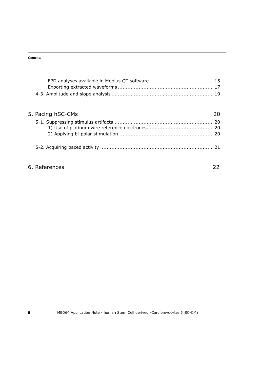#### *Contents*

# 5. Pacing hSC-CMs 20

# 6. References 22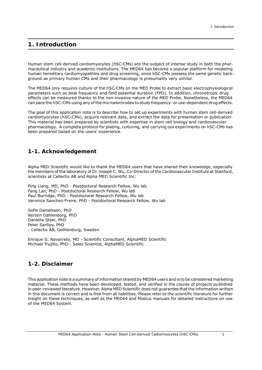# **1. Introduction**

Human stem cell-derived cardiomyocytes (hSC-CMs) are the subject of intense study in both the pharmaceutical industry and academic institutions. The MED64 has become a popular platform for modeling human hereditary cardiomyopathies and drug screening, since hSC-CMs possess the same genetic background as primary human CMs and their pharmacology is presumably very similar.

The MED64 only requires culture of the hSC-CMs on the MED Probe to extract basic electrophysiological parameters such as beat frequency and field potential duration (FPD). In addition, chronotropic drug effects can be measured thanks to the non-invasive nature of the MED Probe. Nonetheless, the MED64 can pace the hSC-CMs using any of the microelectrodes to study frequency- or use-dependent drug effects.

The goal of this application note is to describe how to set up experiments with human stem cell-derived cardiomyocytes (hSC-CMs), acquire relevant data, and extract the data for presentation or publication. This material has been prepared by scientists with expertise in stem cell biology and cardiovascular pharmacology. A complete protocol for plating, culturing, and carrying out experiments on hSC-CMs has been prepared based on the users' experience.

# **1-1. Acknowledgement**

Alpha MED Scientific would like to thank the MED64 users that have shared their knowledge, especially the members of the laboratory of Dr. Joseph C. Wu, Co-Director of the Cardiovascular Institute at Stanford, scientists at Cellectis AB and Alpha MED Scientific Inc:

Ping Liang, MD, PhD - Postdoctoral Research Fellow, Wu lab Feng Lan, PhD - Postdoctoral Research Fellow, Wu lab Paul Burridge, PhD - Postdoctoral Research Fellow, Wu lab Veronica Sanchez-Freire, PhD - Postdoctoral Research Fellow, Wu lab

Sofie Danielsson, PhD Kerstin Dahlenborg, PhD Daniella Steel, PhD Peter Sartipy, PhD - Cellectis AB, Gothenburg, Sweden

Enrique G. Navarrete, MD - Scientific Consultant, AlphaMED Scientific Michael Trujillo, PhD - Sales Scientist, AlphaMED Scientific

# **1-2. Disclaimer**

This application note is a summary of information shared by MED64 users and is to be considered marketing material. These methods have been developed, tested, and verified in the course of projects published in peer-reviewed literature. However, Alpha MED Scientific does not guarantee that the information written in this document is correct and is free from all liabilities. Please refer to the scientific literature for further insight on these techniques, as well as the MED64 and Mobius manuals for detailed instructions on use of the MED64 System.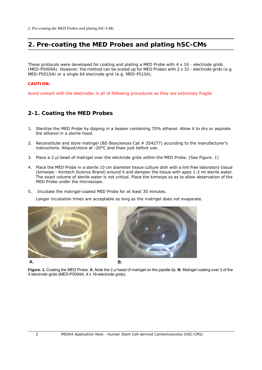# **2. Pre-coating the MED Probes and plating hSC-CMs**

*These protocols were developed for coating and plating a MED Probe with 4 x 16 - electrode grids (MED-P5004A). However, the method can be scaled up for MED Probes with 2 x 32 - electrode grids (e.g. MED-P5D15A) or a single 64 electrode grid (e.g. MED-P515A).*

#### **CAUTION:**

Avoid contact with the electrodes in all of following procedures as they are extremely fragile.

# **2-1. Coating the MED Probes**

- 1. Sterilize the MED Probe by dipping in a beaker containing 70% ethanol. Allow it to dry or aspirate the ethanol in a sterile hood.
- 2. Reconstitute and store matrigel (BD Biosciences Cat # 354277) according to the manufacturer's instructions. Aliquot/store at -20°C and thaw just before use.
- 3. Place a 2 μl bead of matrigel over the electrode grids within the MED Probe. (See Figure. 1)
- 4. Place the MED Probe in a sterile 10 cm diameter tissue culture dish with a lint-free laboratory tissue (kimwipe - Kimtech Science Brand) around it and dampen the tissue with appx 1-2 ml sterile water. The exact volume of sterile water is not critical. Place the kimwipe so as to allow observation of the MED Probe under the microscope.
- 5. Incubate the matrigel-coated MED Probe for at least 30 minutes.

*Longer incubation times are acceptable as long as the matrigel does not evaporate.*





**Figure. 1.** Coating the MED Probe. A. Note the 2 µl bead of matrigel on the pipette tip. **B.** Matrigel coating over 3 of the 4 electrode grids (MED-P5004A, 4 x 16-electrode grids).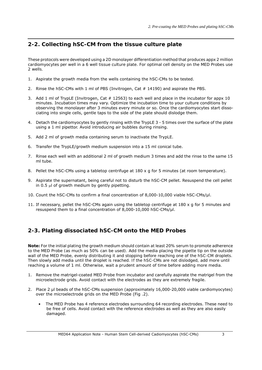# **2-2. Collecting hSC-CM from the tissue culture plate**

*These protocols were developed using a 2D monolayer differentiation method that produces appx 2 million cardiomyocytes per well in a 6 well tissue culture plate. For optimal cell density on the MED Probes use 2 wells.*

- 1. Aspirate the growth media from the wells containing the hSC-CMs to be tested.
- 2. Rinse the hSC-CMs with 1 ml of PBS (Invitrogen, Cat # 14190) and aspirate the PBS.
- 3. Add 1 ml of TrypLE (Invitrogen, Cat # 12563) to each well and place in the incubator for appx 10 minutes. Incubation times may vary. Optimize the incubation time to your culture conditions by observing the monolayer after 3 minutes every minute or so. Once the cardiomyocytes start dissociating into single cells, gentle taps to the side of the plate should dislodge them.
- 4. Detach the cardiomyocytes by gently rinsing with the TrypLE 3 5 times over the surface of the plate using a 1 ml pipettor. Avoid introducing air bubbles during rinsing.
- 5. Add 2 ml of growth media containing serum to inactivate the TrypLE.
- 6. Transfer the TrypLE/growth medium suspension into a 15 ml conical tube.
- 7. Rinse each well with an additional 2 ml of growth medium 3 times and add the rinse to the same 15 ml tube.
- 8. Pellet the hSC-CMs using a tabletop centrifuge at 180 x g for 5 minutes (at room temperature).
- 9. Aspirate the supernatant, being careful not to disturb the hSC-CM pellet. Resuspend the cell pellet in  $0.5$   $\mu$  of growth medium by gently pipetting.
- 10. Count the hSC-CMs to confirm a final concentration of 8,000-10,000 viable hSC-CMs/μl.
- 11. If necessary, pellet the hSC-CMs again using the tabletop centrifuge at 180 x g for 5 minutes and resuspend them to a final concentration of 8,000-10,000 hSC-CMs/μl.

# **2-3. Plating dissociated hSC-CM onto the MED Probes**

*Note: For the initial plating the growth medium should contain at least 20% serum to promote adherence to the MED Probe (as much as 50% can be used). Add the media placing the pipette tip on the outside wall of the MED Probe, evenly distributing it and stopping before reaching one of the hSC-CM droplets. Then slowly add media until the droplet is reached. If the hSC-CMs are not dislodged, add more until reaching a volume of 1 ml. Otherwise, wait a prudent amount of time before adding more media.* 

- 1. Remove the matrigel-coated MED Probe from incubator and carefully aspirate the matrigel from the microelectrode grids. Avoid contact with the electrodes as they are extremely fragile.
- 2. Place 2 μl beads of the hSC-CMs suspension (approximately 16,000-20,000 viable cardiomyocytes) over the microelectrode grids on the MED Probe (Fig .2).
	- The MED Probe has 4 reference electrodes surrounding 64 recording electrodes. These need to be free of cells. Avoid contact with the reference electrodes as well as they are also easily damaged.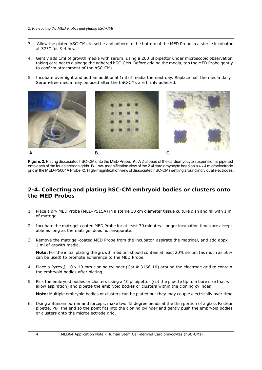- 3. Allow the plated hSC-CMs to settle and adhere to the bottom of the MED Probe in a sterile incubator at 37°C for 3-4 hrs.
- 4. Gently add 1ml of growth media with serum, using a 200 μl pipettor under microscopic observation taking care not to dislodge the adhered hSC-CMs. Before adding the media, tap the MED Probe gently to confirm attachment of the hSC-CMs.
- 5. Incubate overnight and add an additional 1ml of media the next day. Replace half the media daily. Serum-free media may be used after the hSC-CMs are firmly adhered.



**Figure. 2.** Plating dissociated hSC-CM onto the MED Probe. A. A 2 ul bead of the cardiomyocyte suspension is pipetted onto each of the four electrode grids. **B.** Low- magnification view of the 2 ul cardiomyocyte bead on a 4 x 4 microelectrode grid in the MED-P5004A Probe. **C**. High-magnification view of dissociated hSC-CMs settling around individual electrodes.

## **2-4. Collecting and plating hSC-CM embryoid bodies or clusters onto the MED Probes**

- 1. Place a dry MED Probe (MED-P515A) in a sterile 10 cm diameter tissue culture dish and fill with 1 ml of matrigel.
- 2. Incubate the matrigel-coated MED Probe for at least 30 minutes. Longer incubation times are acceptable as long as the matrigel does not evaporate.
- 3. Remove the matrigel-coated MED Probe from the incubator, aspirate the matrigel, and add appx 1 ml of growth media.

*Note: For the initial plating the growth medium should contain at least 20% serum (as much as 50% can be used) to promote adherence to the MED Probe.*

- 4. Place a Pyrex® 10 x 10 mm cloning cylinder (Cat  $# 3166-10$ ) around the electrode grid to contain the embryoid bodies after plating.
- 5. Pick the embryoid bodies or clusters using a 10 μl pipettor (cut the pipette tip to a bore size that will allow aspiration) and pipette the embryoid bodies or clusters within the cloning cylinder.

*Note: Multiple embryoid bodies or clusters can be plated but they may couple electrically over time.*

6. Using a Bunsen burner and forceps, make two 45 degree bends at the thin portion of a glass Pasteur pipette. Pull the end so the point fits into the cloning cylinder and gently push the embryoid bodies or clusters onto the microelectrode grid.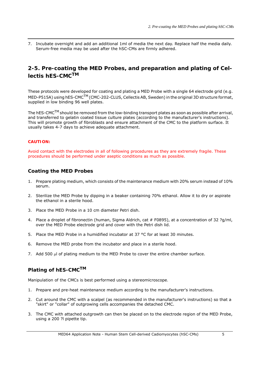7. Incubate overnight and add an additional 1ml of media the next day. Replace half the media daily. Serum-free media may be used after the hSC-CMs are firmly adhered.

# **2-5. Pre-coating the MED Probes, and preparation and plating of Cellectis hES-CMCTM**

These protocols were developed for coating and plating a MED Probe with a single 64 electrode grid (e.g. MED-P515A) using hES-CMC<sup>TM</sup> (CMC-202-CLUS, Cellectis AB, Sweden) in the original 3D structure format, supplied in low binding 96 well plates.

The hES-CMC<sup>TM</sup> should be removed from the low-binding transport plates as soon as possible after arrival, and transferred to gelatin coated tissue culture plates (according to the manufacturer's instructions). This will promote growth of fibroblasts and ensure attachment of the CMC to the platform surface. It usually takes 4-7 days to achieve adequate attachment.

#### **CAUTION:**

Avoid contact with the electrodes in all of following procedures as they are extremely fragile. These procedures should be performed under aseptic conditions as much as possible.

#### **Coating the MED Probes**

- 1. Prepare plating medium, which consists of the maintenance medium with 20% serum instead of 10% serum.
- 2. Sterilize the MED Probe by dipping in a beaker containing 70% ethanol. Allow it to dry or aspirate the ethanol in a sterile hood.
- 3. Place the MED Probe in a 10 cm diameter Petri dish.
- 4. Place a droplet of fibronectin (human, Sigma Aldrich, cat # F0895), at a concentration of 32 ?g/ml, over the MED Probe electrode grid and cover with the Petri dish lid.
- 5. Place the MED Probe in a humidified incubator at 37 °C for at least 30 minutes.
- 6. Remove the MED probe from the incubator and place in a sterile hood.
- 7. Add 500  $\mu$  of plating medium to the MED Probe to cover the entire chamber surface.

### **Plating of hES-CMCTM**

*Manipulation of the CMCs is best performed using a stereomicroscope.*

- 1. Prepare and pre-heat maintenance medium according to the manufacturer's instructions.
- 2. Cut around the CMC with a scalpel (as recommended in the manufacturer's instructions) so that a "skirt" or "collar" of outgrowing cells accompanies the detached CMC.
- 3. The CMC with attached outgrowth can then be placed on to the electrode region of the MED Probe, using a 200 ?l pipette tip.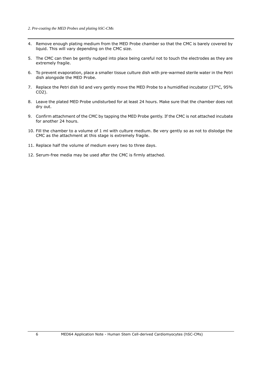- 4. Remove enough plating medium from the MED Probe chamber so that the CMC is barely covered by liquid. This will vary depending on the CMC size.
- 5. The CMC can then be gently nudged into place being careful not to touch the electrodes as they are extremely fragile.
- 6. To prevent evaporation, place a smaller tissue culture dish with pre-warmed sterile water in the Petri dish alongside the MED Probe.
- 7. Replace the Petri dish lid and very gently move the MED Probe to a humidified incubator (37°C, 95% CO2).
- 8. Leave the plated MED Probe undisturbed for at least 24 hours. Make sure that the chamber does not dry out.
- 9. Confirm attachment of the CMC by tapping the MED Probe gently. If the CMC is not attached incubate for another 24 hours.
- 10. Fill the chamber to a volume of 1 ml with culture medium. Be very gently so as not to dislodge the CMC as the attachment at this stage is extremely fragile.
- 11. Replace half the volume of medium every two to three days.
- 12. Serum-free media may be used after the CMC is firmly attached.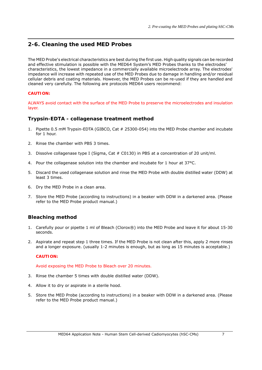# **2-6. Cleaning the used MED Probes**

The MED Probe's electrical characteristics are best during the first use. High quality signals can be recorded and effective stimulation is possible with the MED64 System's MED Probes thanks to the electrodes' characteristics, the lowest impedance in a commercially available microelectrode array. The electrodes' impedance will increase with repeated use of the MED Probes due to damage in handling and/or residual cellular debris and coating materials. However, the MED Probes can be re-used if they are handled and cleaned very carefully. The following are protocols MED64 users recommend:

#### **CAUTION:**

ALWAYS avoid contact with the surface of the MED Probe to preserve the microelectrodes and insulation layer.

#### **Trypsin-EDTA - collagenase treatment method**

- 1. Pipette 0.5 mM Trypsin-EDTA (GIBCO, Cat # 25300-054) into the MED Probe chamber and incubate for 1 hour.
- 2. Rinse the chamber with PBS 3 times.
- 3. Dissolve collagenase type I (Sigma, Cat  $#$  C0130) in PBS at a concentration of 20 unit/ml.
- 4. Pour the collagenase solution into the chamber and incubate for 1 hour at 37°C.
- 5. Discard the used collagenase solution and rinse the MED Probe with double distilled water (DDW) at least 3 times.
- 6. Dry the MED Probe in a clean area.
- 7. Store the MED Probe (according to instructions) in a beaker with DDW in a darkened area. (Please refer to the MED Probe product manual.)

### **Bleaching method**

- 1. Carefully pour or pipette 1 ml of Bleach (Clorox®) into the MED Probe and leave it for about 15-30 seconds.
- 2. Aspirate and repeat step 1 three times. If the MED Probe is not clean after this, apply 2 more rinses and a longer exposure. (usually 1-2 minutes is enough, but as long as 15 minutes is acceptable.)

#### **CAUTION:**

Avoid exposing the MED Probe to Bleach over 20 minutes.

- 3. Rinse the chamber 5 times with double distilled water (DDW).
- 4. Allow it to dry or aspirate in a sterile hood.
- 5. Store the MED Probe (according to instructions) in a beaker with DDW in a darkened area. (Please refer to the MED Probe product manual.)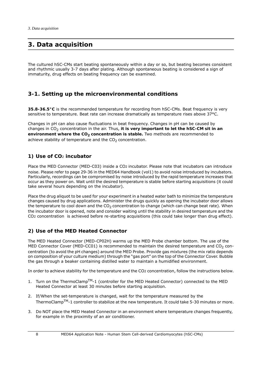# **3. Data acquisition**

The cultured hSC-CMs start beating spontaneously within a day or so, but beating becomes consistent and rhythmic usually 3-7 days after plating. Although spontaneous beating is considered a sign of immaturity, drug effects on beating frequency can be examined.

## **3-1. Setting up the microenvironmental conditions**

**35.8-36.5°C** is the recommended temperature for recording from hSC-CMs. Beat frequency is very sensitive to temperature. Beat rate can increase dramatically as temperature rises above 37°C.

Changes in pH can also cause fluctuations in beat frequency. Changes in pH can be caused by changes in CO<sub>2</sub> concentration in the air. Thus, it is very important to let the hSC-CM sit in an environment where the CO<sub>2</sub> concentration is stable. Two methods are recommended to achieve stability of temperature and the  $CO<sub>2</sub>$  concentration.

## **1) Use of CO**<sup>2</sup> **incubator**

Place the MED Connector (MED-C03) inside a CO2 incubator. Please note that incubators can introduce noise. Please refer to page 29-36 in the MED64 Handbook (vol1) to avoid noise introduced by incubators. Particularly, recordings can be compromised by noise introduced by the rapid temperature increases that occur as they power on. Wait until the desired temperature is stable before starting acquisitions (it could take several hours depending on the incubator).

Place the drug aliquot to be used for your experiment in a heated water bath to minimize the temperature changes caused by drug applications. Administer the drugs quickly as opening the incubator door allows the temperature to cool down and the  $CO<sub>2</sub>$  concentration to change (which can change beat rate). When the incubator door is opened, note and consider waiting until the stability in desired temperature and the CO2 concentration is achieved before re-starting acquisitions (this could take longer than drug effect).

## **2) Use of the MED Heated Connector**

The MED Heated Connector (MED-CP02H) warms up the MED Probe chamber bottom. The use of the MED Connector Cover (MED-CC01) is recommended to maintain the desired temperature and CO<sub>2</sub> concentration (to avoid the pH changes) around the MED Probe. Provide gas mixtures (the mix ratio depends on composition of your culture medium) through the "gas port" on the top of the Connector Cover. Bubble the gas through a beaker containing distilled water to maintain a humidified environment.

In order to achieve stability for the temperature and the CO2 concentration, follow the instructions below.

- 1. Turn on the ThermoClamp<sup>TM</sup>-1 (controller for the MED Heated Connector) connected to the MED Heated Connector at least 30 minutes before starting acquisition.
- 2. If/When the set-temperature is changed, wait for the temperature measured by the ThermoClampTM-1 controller to stabilize at the new temperature. It could take 5-30 minutes or more.
- 3. Do NOT place the MED Heated Connector in an environment where temperature changes frequently, for example in the proximity of an air conditioner.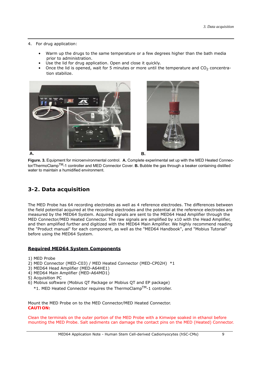#### 4. For drug application:

- Warm up the drugs to the same temperature or a few degrees higher than the bath media prior to administration.
- Use the lid for drug application. Open and close it quickly.
- Once the lid is opened, wait for 5 minutes or more until the temperature and  $CO<sub>2</sub>$  concentration stabilize.





**Figure. 3.** Equipment for microenvironmental control. **A.** Complete experimental set up with the MED Heated Connector/ThermoClampTM-1 controller and MED Connector Cover. **B.** Bubble the gas through a beaker containing distilled water to maintain a humidified environment.

## **3-2. Data acquisition**

The MED Probe has 64 recording electrodes as well as 4 reference electrodes. The differences between the field potential acquired at the recording electrodes and the potential at the reference electrodes are measured by the MED64 System. Acquired signals are sent to the MED64 Head Amplifier through the MED Connector/MED Heated Connector. The raw signals are amplified by x10 with the Head Amplifier, and then amplified further and digitized with the MED64 Main Amplifier. We highly recommend reading the "Product manual" for each component, as well as the "MED64 Handbook", and "Mobius Tutorial" before using the MED64 System.

#### **Required MED64 System Components**

- 1) MED Probe
- 2) MED Connector (MED-C03) / MED Heated Connector (MED-CP02H) \*1
- 3) MED64 Head Amplifier (MED-A64HE1)
- 4) MED64 Main Amplifier (MED-A64MD1)
- 5) Acquisition PC
- 6) Mobius software (Mobius QT Package or Mobius QT and EP package)
- \*1. MED Heated Connector requires the ThermoClampTM-1 controller.

Mount the MED Probe on to the MED Connector/MED Heated Connector. **CAUTION:**

Clean the terminals on the outer portion of the MED Probe with a Kimwipe soaked in ethanol before mounting the MED Probe. Salt sediments can damage the contact pins on the MED (Heated) Connector.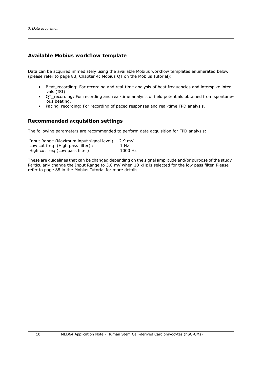## **Available Mobius workflow template**

Data can be acquired immediately using the available Mobius workflow templates enumerated below (please refer to page 83, Chapter 4: Mobius QT on the Mobius Tutorial):

- Beat\_recording: For recording and real-time analysis of beat frequencies and interspike intervals (ISI).
- QT recording: For recording and real-time analysis of field potentials obtained from spontaneous beating.
- Pacing\_recording: For recording of paced responses and real-time FPD analysis.

### **Recommended acquisition settings**

The following parameters are recommended to perform data acquisition for FPD analysis:

| Input Range (Maximum input signal level): 2.9 mV |         |
|--------------------------------------------------|---------|
| Low cut freq (High pass filter) :                | 1 Hz    |
| High cut freq (Low pass filter):                 | 1000 Hz |

These are guidelines that can be changed depending on the signal amplitude and/or purpose of the study. Particularly change the Input Range to 5.0 mV when 10 kHz is selected for the low pass filter. Please refer to page 88 in the Mobius Tutorial for more details.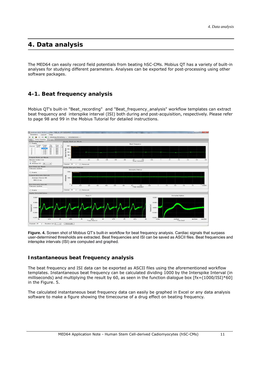# **4. Data analysis**

The MED64 can easily record field potentials from beating hSC-CMs. Mobius QT has a variety of built-in analyses for studying different parameters. Analyses can be exported for post-processing using other software packages.

# **4-1. Beat frequency analysis**

Mobius QT's built-in "Beat\_recording" and "Beat\_frequency\_analysis" workflow templates can extract beat frequency and interspike interval (ISI) both during and post-acquisition, respectively. Please refer to page 98 and 99 in the Mobius Tutorial for detailed instructions.



**Figure. 4.** Screen shot of Mobius QT's built-in workflow for beat frequency analysis. Cardiac signals that surpass user-determined thresholds are extracted. Beat frequencies and ISI can be saved as ASCII files. Beat frequencies and interspike intervals (ISI) are computed and graphed.

### **Instantaneous beat frequency analysis**

The beat frequency and ISI data can be exported as ASCII files using the aforementioned workflow templates. Instantaneous beat frequency can be calculated dividing 1000 by the Interspike Interval (in milliseconds) and multiplying the result by 60, as seen in the function dialogue box  $[x=(1000/ISI)*60]$ in the Figure. 5.

The calculated instantaneous beat frequency data can easily be graphed in Excel or any data analysis software to make a figure showing the timecourse of a drug effect on beating frequency.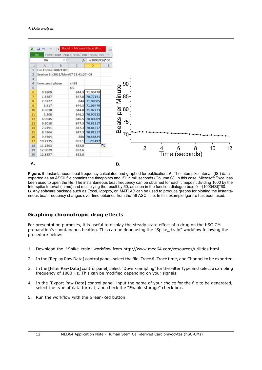

**Figure. 5.** Instantaneous beat frequency calculated and graphed for publication. **A.** The interspike interval (ISI) data exported as an ASCII file contains the timepoints and ISI in milliseconds (Column C). In this case, Microsoft Excel has been used to open the file. The instantaneous beat frequency can be obtained for each timepoint dividing 1000 by the Interspike Interval (in ms) and multiplying the result by 60, as seen in the function dialogue box, fx =(1000/ISI)\*60. **B.** Any software package such as Excel, Igorpro, or MATLAB can be used to produce graphs for plotting the instantaneous beat frequency changes over time obtained from the ISI ASCII file. In this example Igorpro has been used.

## **Graphing chronotropic drug effects**

For presentation purposes, it is useful to display the steady state effect of a drug on the hSC-CM preparation's spontaneous beating. This can be done using the "Spike\_ train" workflow following the procedure below:

- 1. Download the "Spike train" workflow from http://www.med64.com/resources/utilities.html.
- 2. In the [Replay Raw Data] control panel, select the file, Trace#, Trace time, and Channel to be exported.
- 3. In the [Filter Raw Data] control panel, select "Down-sampling" for the Filter Type and select a sampling frequency of 1000 Hz. This can be modified depending on your signals.
- 4. In the [Export Raw Data] control panel, input the name of your choice for the file to be generated, select the type of data format, and check the "Enable storage" check box.
- 5. Run the workflow with the Green-Red button.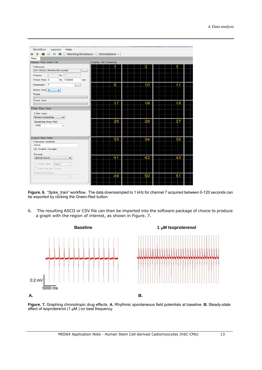

**Figure. 6.** "Spike train" workflow. The data downsampled to 1 kHz for channel 7 acquired between 0-120 seconds can be exported by clicking the Green-Red button.

6. The resulting ASCII or CSV file can then be imported into the software package of choice to produce a graph with the region of interest, as shown in Figure. 7.



**Figure. 7.** Graphing chronotropic drug effects. **A.** Rhythmic spontaneous field potentials at baseline. **B.** Steady-state effect of isoproterenol (1 μM ) on beat frequency.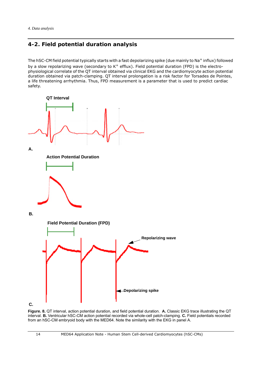# **4-2. Field potential duration analysis**

The hSC-CM field potential typically starts with a fast depolarizing spike (due mainly to Na<sup>+</sup> influx) followed by a slow repolarizing wave (secondary to  $K^+$  efflux). Field potential duration (FPD) is the electrophysiological correlate of the QT interval obtained via clinical EKG and the cardiomyocyte action potential duration obtained via patch-clamping. QT interval prolongation is a risk factor for Torsades de Pointes, a life threatening arrhythmia. Thus, FPD measurement is a parameter that is used to predict cardiac safety.



**Figure. 8.** QT interval, action potential duration, and field potential duration. **A.** Classic EKG trace illustrating the QT interval. **B.** Ventricular hSC-CM action potential recorded via whole-cell patch-clamping. **C.** Field potentials recorded from an hSC-CM embryoid body with the MED64. Note the similarity with the EKG in panel A.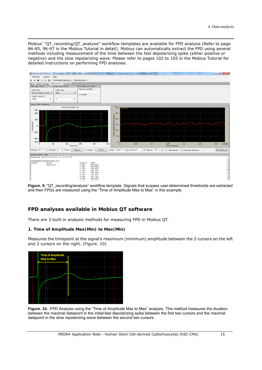Mobius' "QT\_recording/QT\_analysis" workflow templates are available for FPD analysis (Refer to page 84-85, 96-97 in the Mobius Tutorial in detail). Mobius can automatically extract the FPD using several methods including measurement of the time between the fast depolarizing spike (either positive or negative) and the slow repolarizing wave. Please refer to pages 102 to 105 in the Mobius Tutorial for detailed instructions on performing FPD analyses.



Figure. 9. "QT\_recording/analysis" workflow template. Signals that surpass user-determined thresholds are extracted and their FPDs are measured using the "Time of Amplitude Max to Max" in this example.

## **FPD analyses available in Mobius QT software**

There are 3 built-in analysis methods for measuring FPD in Mobius QT.

#### **1. Time of Amplitude Max(Min) to Max(Min)**

Measures the timepoint at the signal's maximum (minimum) amplitude between the 2 cursors on the left and 2 cursors on the right. (Figure. 10)



**Figure. 10.** FPD Analysis using the "Time of Amplitude Max to Max" analysis. This method measures the duration between the maximal datapoint in the initial**-**fast depolarizing spike between the first two cursors and the maximal datapoint in the slow repolarizing wave between the second two cursors.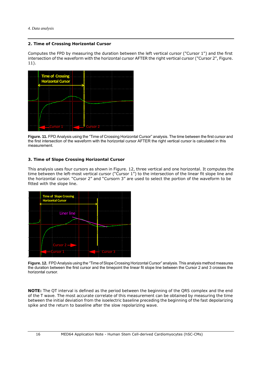#### **2. Time of Crossing Horizontal Cursor**

Computes the FPD by measuring the duration between the left vertical cursor ("Cursor 1") and the first intersection of the waveform with the horizontal cursor AFTER the right vertical cursor ("Cursor 2", Figure. 11).



**Figure. 11.** FPD Analysis using the "Time of Crossing Horizontal Cursor" analysis. The time between the first cursor and the first intersection of the waveform with the horizontal cursor AFTER the right vertical cursor is calculated in this measurement.

#### **3. Time of Slope Crossing Horizontal Cursor**

This analysis uses four cursors as shown in Figure. 12, three vertical and one horizontal. It computes the time between the left-most vertical cursor ("Cursor 1") to the intersection of the linear fit slope line and the horizontal cursor. "Cursor 2" and "Cursorn 3" are used to select the portion of the waveform to be fitted with the slope line.



**Figure. 12.** FPD Analysis using the "Time of Slope Crossing Horizontal Cursor" analysis. This analysis method measures the duration between the first cursor and the timepoint the linear fit slope line between the Cursor 2 and 3 crosses the horizontal cursor.

*NOTE: The QT interval is defined as the period between the beginning of the QRS complex and the end of the T wave. The most accurate correlate of this measurement can be obtained by measuring the time*  between the initial deviation from the isoelectric baseline preceding the beginning of the fast depolarizing *spike and the return to baseline after the slow repolarizing wave.*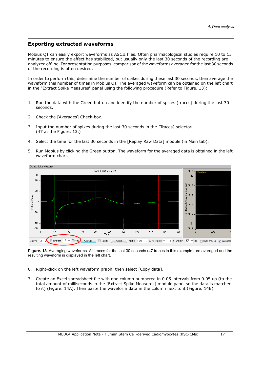#### **Exporting extracted waveforms**

Mobius QT can easily export waveforms as ASCII files. Often pharmacological studies require 10 to 15 minutes to ensure the effect has stabilized, but usually only the last 30 seconds of the recording are analyzed offline. For presentation purposes, comparison of the waveforms averaged for the last 30 seconds of the recording is often desired.

In order to perform this, determine the number of spikes during these last 30 seconds, then average the waveform this number of times in Mobius QT. The averaged waveform can be obtained on the left chart in the "Extract Spike Measures" panel using the following procedure (Refer to Figure. 13):

- 1. Run the data with the Green button and identify the number of spikes (traces) during the last 30 seconds.
- 2. Check the [Averages] Check-box.
- 3. Input the number of spikes during the last 30 seconds in the [Traces] selector. (47 at the Figure. 13.)
- 4. Select the time for the last 30 seconds in the [Replay Raw Data] module (in Main tab).
- 5. Run Mobius by clicking the Green button. The waveform for the averaged data is obtained in the left waveform chart.



**Figure. 13.** Averaging waveforms. All traces for the last 30 seconds (47 traces in this example) are averaged and the resulting waveform is displayed in the left chart.

- 6. Right-click on the left waveform graph, then select [Copy data].
- 7. Create an Excel spreadsheet file with one column numbered in 0.05 intervals from 0.05 up (to the total amount of milliseconds in the [Extract Spike Measures] module panel so the data is matched to it) (Figure. 14A). Then paste the waveform data in the column next to it (Figure. 14B).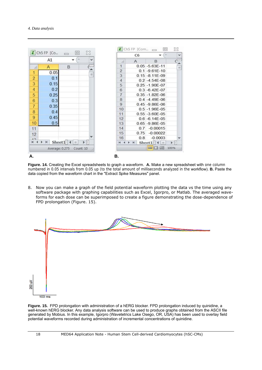|                | K Ch5 FP [Co     | $\Box$<br>$\qquad \qquad \Box$ | X                     |                | C <sub>6</sub>             |                     |
|----------------|------------------|--------------------------------|-----------------------|----------------|----------------------------|---------------------|
|                | A1               |                                | v                     |                | A                          | B                   |
|                | A                | B                              |                       | 1              |                            | $0.05 - 5.63E - 11$ |
| 1              | 0.05             |                                |                       | $\overline{2}$ |                            | $0.1 - 9.61E - 10$  |
|                |                  |                                | ú.                    | 3              |                            | $0.15 - 8.11E - 09$ |
| $\frac{2}{3}$  | 0.1              |                                |                       | 4              |                            | $0.2 - 4.54E - 08$  |
|                | 0.15             |                                |                       | 5              |                            | $0.25 - 1.90E - 07$ |
| $\overline{4}$ | 0.2              |                                |                       | 6              |                            | $0.3 - 6.42E - 07$  |
| 5              | 0.25             |                                |                       | $\overline{7}$ |                            | $0.35 - 1.82E - 06$ |
|                | 0.3              |                                |                       | 8              |                            | $0.4 - 4.49E - 06$  |
| $\frac{6}{7}$  | 0.35             |                                |                       | 9              |                            | $0.45 - 9.86E - 06$ |
|                |                  |                                |                       | 10             |                            | $0.5 - 1.96E - 05$  |
| 8              | 0.4              |                                |                       | 11             |                            | $0.55 - 3.60E - 05$ |
| 9              | 0.45             |                                |                       | 12             |                            | $0.6 - 6.14E - 05$  |
| 10             | 0.5              |                                |                       | 13             |                            | $0.65 - 9.86E - 05$ |
| 11             |                  |                                |                       | 14             | 0.7                        | $-0.00015$          |
| 12             |                  |                                |                       | 15             | 0.75                       | $-0.00022$          |
| 4n             |                  |                                |                       | 16             | 0.8                        | $-0.0003$           |
| 44             | Sheet $1$ 4<br>Ы | List.                          | $\blacktriangleright$ | $14 - 4$       | $\blacktriangleright$<br>٠ | Sheet1 $  $ 4 $  $  |
|                | Average: 0.275   | Count: 10                      |                       |                |                            | 用口凹                 |

**Figure. 14.** Creating the Excel spreadsheets to graph a waveform. **A.** Make a new spreadsheet with one column numbered in 0.05 intervals from 0.05 up (to the total amount of milliseconds analyzed in the workflow). **B.** Paste the data copied from the waveform chart in the "Extract Spike Measures" panel.

X U

Ξ

 $\blacktriangleright$ 100%

8. Now you can make a graph of the field potential waveform plotting the data vs the time using any software package with graphing capabilities such as Excel, Igorpro, or Matlab. The averaged waveforms for each dose can be superimposed to create a figure demonstrating the dose-dependence of FPD prolongation (Figure. 15).



**Figure. 15.** FPD prolongation with administration of a hERG blocker. FPD prolongation induced by quinidine, a well-known hERG blocker. Any data analysis software can be used to produce graphs obtained from the ASCII file generated by Mobius. In this example, Igorpro (Wavetetrics Lake Osego, OR, USA) has been used to overlay field potential waveforms recorded during administration of incremental concentrations of quinidine.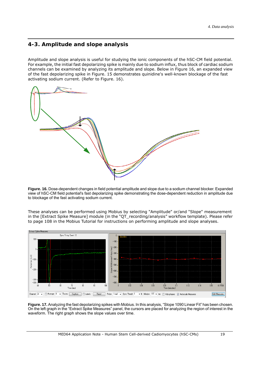## **4-3. Amplitude and slope analysis**

Amplitude and slope analysis is useful for studying the ionic components of the hSC-CM field potential. For example, the initial fast depolarizing spike is mainly due to sodium influx, thus block of cardiac sodium channels can be examined by analyzing its amplitude and slope. Below in Figure 16, an expanded view of the fast depolarizing spike in Figure. 15 demonstrates quinidine's well-known blockage of the fast activating sodium current. (Refer to Figure. 16).



**Figure. 16.** Dose-dependent changes in field potential amplitude and slope due to a sodium channel blocker. Expanded view of hSC-CM field potential's fast depolarizing spike demonstrating the dose-dependent reduction in amplitude due to blockage of the fast activating sodium current.

These analyses can be performed using Mobius by selecting "Amplitude" or/and "Slope" measurement in the [Extract Spike Measure] module (in the "QT\_recording/analysis" workflow template). Please refer to page 108 in the Mobius Tutorial for instructions on performing amplitude and slope analyses.



**Figure. 17.** Analyzing the fast depolarizing spikes with Mobius. In this analysis, "Slope 1090 Linear Fit" has been chosen. On the left graph in the "Extract Spike Measures" panel, the cursors are placed for analyzing the region of interest in the waveform. The right graph shows the slope values over time.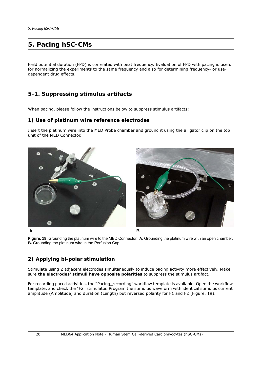# **5. Pacing hSC-CMs**

Field potential duration (FPD) is correlated with beat frequency. Evaluation of FPD with pacing is useful for normalizing the experiments to the same frequency and also for determining frequency- or usedependent drug effects.

# **5-1. Suppressing stimulus artifacts**

When pacing, please follow the instructions below to suppress stimulus artifacts:

#### **1) Use of platinum wire reference electrodes**

Insert the platinum wire into the MED Probe chamber and ground it using the alligator clip on the top unit of the MED Connector.







**Figure. 18.** Grounding the platinum wire to the MED Connector. **A.** Grounding the platinum wire with an open chamber. **B.** Grounding the platinum wire in the Perfusion Cap.

## **2) Applying bi-polar stimulation**

Stimulate using 2 adjacent electrodes simultaneously to induce pacing activity more effectively. Make sure **the electrodes' stimuli have opposite polarities** to suppress the stimulus artifact.

For recording paced activities, the "Pacing recording" workflow template is available. Open the workflow template, and check the "F2" stimulator. Program the stimulus waveform with identical stimulus current amplitude (Amplitude) and duration (Length) but reversed polarity for F1 and F2 (Figure. 19).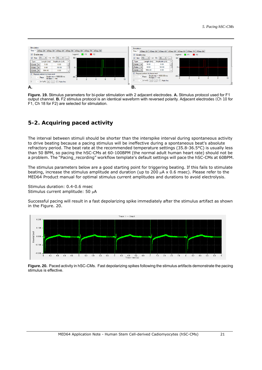

**Figure. 19.** Stimulus parameters for bi-polar stimulation with 2 adjacent electrodes. **A.** Stimulus protocol used for F1 output channel. **B.** F2 stimulus protocol is an identical waveform with reversed polarity. Adjacent electrodes (Ch 10 for F1, Ch 18 for F2) are selected for stimulation.

# **5-2. Acquiring paced activity**

The interval between stimuli should be shorter than the interspike interval during spontaneous activity to drive beating because a pacing stimulus will be ineffective during a spontaneous beat's absolute refractory period. The beat rate at the recommended temperature settings (35.8-36.5°C) is usually less than 50 BPM, so pacing the hSC-CMs at 60-100BPM (the normal adult human heart rate) should not be a problem. The "Pacing recording" workflow template's default settings will pace the hSC-CMs at 60BPM.

The stimulus parameters below are a good starting point for triggering beating. If this fails to stimulate beating, increase the stimulus amplitude and duration (up to 200  $\mu$ A x 0.6 msec). Please refer to the MED64 Product manual for optimal stimulus current amplitudes and durations to avoid electrolysis.

Stimulus duration: 0.4-0.6 msec Stimulus current amplitude: 50 µA

Successful pacing will result in a fast depolarizing spike immediately after the stimulus artifact as shown in the Figure. 20.



**Figure. 20.** Paced activity in hSC-CMs. Fast depolarizing spikes following the stimulus artifacts demonstrate the pacing stimulus is effective.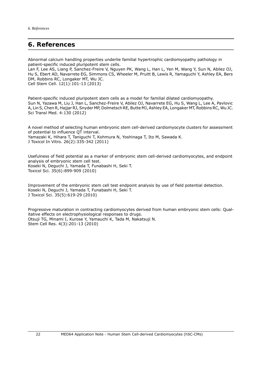# **6. References**

Abnormal calcium handling properties underlie familial hypertrophic cardiomyopathy pathology in patient-specific induced pluripotent stem cells.

Lan F, Lee AS, Liang P, Sanchez-Freire V, Nguyen PK, Wang L, Han L, Yen M, Wang Y, Sun N, Abilez OJ, Hu S, Ebert AD, Navarrete EG, Simmons CS, Wheeler M, Pruitt B, Lewis R, Yamaguchi Y, Ashley EA, Bers DM, Robbins RC, Longaker MT, Wu JC.

Cell Stem Cell. 12(1):101-13 (2013)

Patient-specific induced pluripotent stem cells as a model for familial dilated cardiomyopathy. Sun N, Yazawa M, Liu J, Han L, Sanchez-Freire V, Abilez OJ, Navarrete EG, Hu S, Wang L, Lee A, Pavlovic A, Lin S, Chen R, Hajjar RJ, Snyder MP, Dolmetsch RE, Butte MJ, Ashley EA, Longaker MT, Robbins RC, Wu JC. Sci Transl Med. 4:130 (2012)

A novel method of selecting human embryonic stem cell-derived cardiomyocyte clusters for assessment of potential to influence QT interval. Yamazaki K, Hihara T, Taniguchi T, Kohmura N, Yoshinaga T, Ito M, Sawada K. J Toxicol In Vitro. 26(2):335-342 (2011)

Usefulness of field potential as a marker of embryonic stem cell-derived cardiomyocytes, and endpoint analysis of embryonic stem cell test. Koseki N, Deguchi J, Yamada T, Funabashi H, Seki T. Toxicol Sci. 35(6):899-909 (2010)

Improvement of the embryonic stem cell test endpoint analysis by use of field potential detection. Koseki N, Deguchi J, Yamada T, Funabashi H, Seki T. J Toxicol Sci. 35(5):619-29 (2010)

Progressive maturation in contracting cardiomyocytes derived from human embryonic stem cells: Qualitative effects on electrophysiological responses to drugs. Otsuji TG, Minami I, Kurose Y, Yamauchi K, Tada M, Nakatsuji N. Stem Cell Res. 4(3):201-13 (2010)